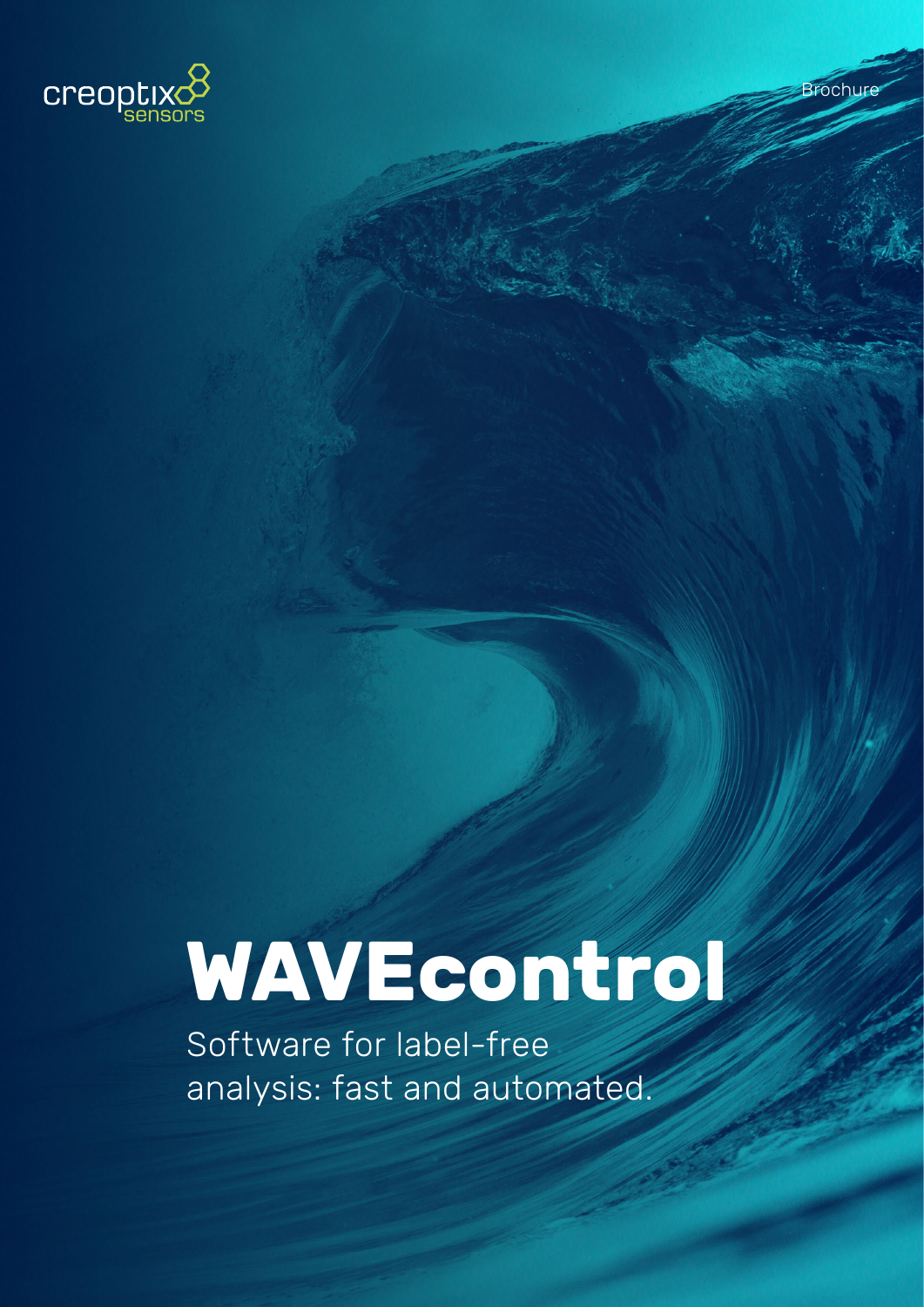

# **WAVEcontrol**

Software for label-free analysis: fast and automated.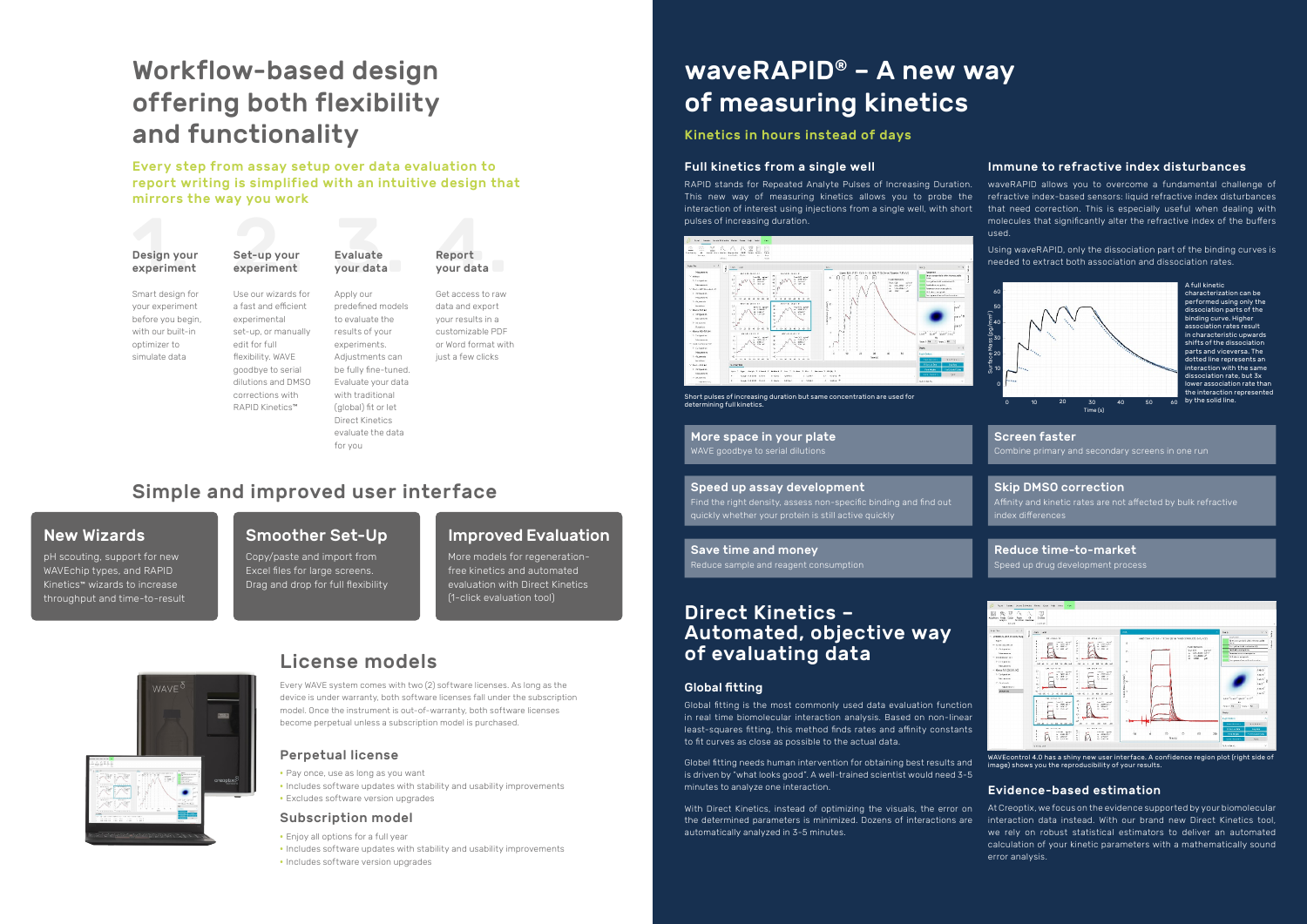Every WAVE system comes with two (2) software licenses. As long as the device is under warranty, both software licenses fall under the subscription model. Once the instrument is out-of-warranty, both software licenses become perpetual unless a subscription model is purchased.

# Workflow-based design offering both flexibility and functionality

Every step from assay setup over data evaluation to report writing is simplified with an intuitive design that mirrors the way you work

# waveRAPID® – A new way of measuring kinetics

## Kinetics in hours instead of days

#### Full kinetics from a single well

RAPID stands for Repeated Analyte Pulses of Increasing Duration. This new way of measuring kinetics allows you to probe the interaction of interest using injections from a single well, with short pulses of increasing duration.



- **•** Pay once, use as long as you want
- **•** Includes software updates with stability and usability improvements
- **•** Excludes software version upgrades

#### Perpetual license

- **•** Enjoy all options for a full year
- **•** Includes software updates with stability and usability improvements
- **•** Includes software version upgrades

#### Subscription model

Short pulses of increasing duration but same concentration are used for determining full kinetics.

## New Wizards

pH scouting, support for new WAVEchip types, and RAPID Kinetics™ wizards to increase throughput and time-to-result

## Smoother Set-Up

Copy/paste and import from Excel files for large screens. Drag and drop for full flexibility

# Improved Evaluation

More models for regenerationfree kinetics and automated evaluation with Direct Kinetics (1-click evaluation tool)



# Simple and improved user interface

#### Global fitting

Global fitting is the most commonly used data evaluation function in real time biomolecular interaction analysis. Based on non-linear least-squares fitting, this method finds rates and affinity constants to fit curves as close as possible to the actual data.

characterization can be performed using only the dissociation parts of the binding curve. Higher association rates result in characteristic upwards shifts of the dissociation parts and viceversa. The .<br>dotted line represents an interaction with the same dissociation rate, but 3x lower association rate than the interaction represented  $\overline{60}$  by the solid line.

Globel fitting needs human intervention for obtaining best results and is driven by "what looks good". A well-trained scientist would need 3-5 minutes to analyze one interaction.

#### Evidence-based estimation

With Direct Kinetics, instead of optimizing the visuals, the error on the determined parameters is minimized. Dozens of interactions are automatically analyzed in 3-5 minutes. At Creoptix, we focus on the evidence supported by your biomolecular interaction data instead. With our brand new Direct Kinetics tool, we rely on robust statistical estimators to deliver an automated calculation of your kinetic parameters with a mathematically sound error analysis.



# Direct Kinetics – Automated, objective way of evaluating data



# License models

#### Immune to refractive index disturbances

waveRAPID allows you to overcome a fundamental challenge of refractive index-based sensors: liquid refractive index disturbances that need correction. This is especially useful when dealing with molecules that significantly alter the refractive index of the buffers used.

Using waveRAPID, only the dissociation part of the binding curves is needed to extract both association and dissociation rates.

A full kinetic



#### More space in your plate WAVE goodbye to serial dilutions

#### Screen faster

Combine primary and secondary screens in one run

#### Reduce time-to-market

Speed up drug development process



Reduce sample and reagent consumption

### Skip DMSO correction

Affinity and kinetic rates are not affected by bulk refractive index differences

#### Speed up assay development

Find the right density, assess non-specific binding and find out quickly whether your protein is still active quickly

#### **Save time and money**

WAVEcontrol 4.0 has a shiny new user interface. A confidence region plot (right side of image) shows you the reproducibility of your results.